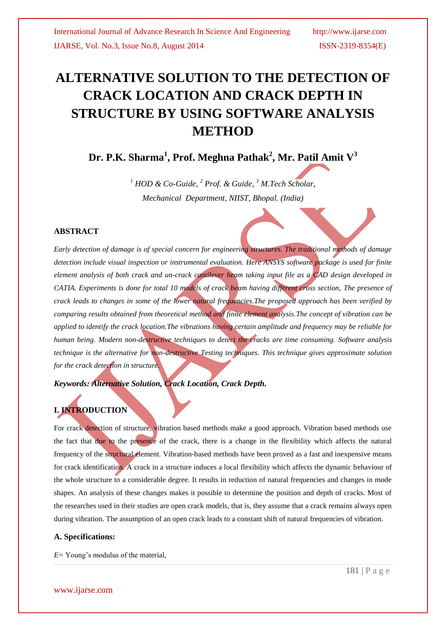# **ALTERNATIVE SOLUTION TO THE DETECTION OF CRACK LOCATION AND CRACK DEPTH IN STRUCTURE BY USING SOFTWARE ANALYSIS METHOD**

**Dr. P.K. Sharma<sup>1</sup> , Prof. Meghna Pathak<sup>2</sup> , Mr. Patil Amit V<sup>3</sup>**

*<sup>1</sup> HOD & Co-Guide, <sup>2</sup> Prof. & Guide, <sup>3</sup> M.Tech Scholar, Mechanical Department, NIIST, Bhopal. (India)*

#### **ABSTRACT**

*Early detection of damage is of special concern for engineering structures. The traditional methods of damage detection include visual inspection or instrumental evaluation. Here ANSYS software package is used for finite element analysis of both crack and un-crack cantilever beam taking input file as a CAD design developed in CATIA. Experiments is done for total 10 models of crack beam having different cross section, The presence of crack leads to changes in some of the lower natural frequencies.The proposed approach has been verified by comparing results obtained from theoretical method and finite element analysis.The concept of vibration can be applied to identify the crack location.The vibrations having certain amplitude and frequency may be reliable for human being. Modern non-destructive techniques to detect the cracks are time consuming. Software analysis technique is the alternative for non-destructive Testing techniques. This technique gives approximate solution for the crack detection in structure.*

*Keywords: Alternative Solution, Crack Location, Crack Depth.*

# **I. INTRODUCTION**

For crack detection of structure, vibration based methods make a good approach. Vibration based methods use the fact that due to the presence of the crack, there is a change in the flexibility which affects the natural frequency of the structural element. Vibration-based methods have been proved as a fast and inexpensive means for crack identification. A crack in a structure induces a local flexibility which affects the dynamic behaviour of the whole structure to a considerable degree. It results in reduction of natural frequencies and changes in mode shapes. An analysis of these changes makes it possible to determine the position and depth of cracks. Most of the researches used in their studies are open crack models, that is, they assume that a crack remains always open during vibration. The assumption of an open crack leads to a constant shift of natural frequencies of vibration.

#### **A. Specifications:**

*E=* Young's modulus of the material,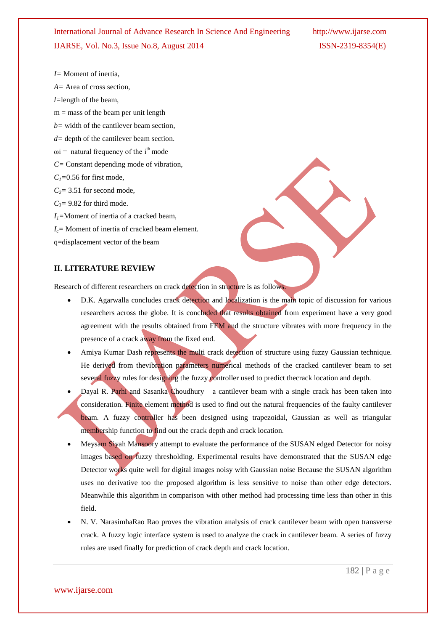International Journal of Advance Research In Science And Engineering http://www.ijarse.com IJARSE, Vol. No.3, Issue No.8, August 2014 ISSN-2319-8354(E)

*I=* Moment of inertia,

*A=* Area of cross section,

*l=*length of the beam,

 $m =$  mass of the beam per unit length

*b=* width of the cantilever beam section*,*

- *d=* depth of the cantilever beam section.
- $\omega$ i = natural frequency of the i<sup>th</sup> mode
- *C=* Constant depending mode of vibration,
- $C_1$ =0.56 for first mode,

 $C_2$ = 3.51 for second mode,

 $C_3$ = 9.82 for third mode.

*I1=*Moment of inertia of a cracked beam,

*Ic=* Moment of inertia of cracked beam element*.*

q=displacement vector of the beam

#### **II. LITERATURE REVIEW**

Research of different researchers on crack detection in structure is as follows.

- D.K. Agarwalla concludes crack detection and localization is the main topic of discussion for various researchers across the globe. It is concluded that results obtained from experiment have a very good agreement with the results obtained from FEM and the structure vibrates with more frequency in the presence of a crack away from the fixed end.
- Amiya Kumar Dash represents the multi crack detection of structure using fuzzy Gaussian technique. He derived from the vibration parameters numerical methods of the cracked cantilever beam to set several fuzzy rules for designing the fuzzy controller used to predict thecrack location and depth.
- Dayal R. Parhi and Sasanka Choudhury a cantilever beam with a single crack has been taken into consideration. Finite element method is used to find out the natural frequencies of the faulty cantilever beam. A fuzzy controller has been designed using trapezoidal, Gaussian as well as triangular membership function to find out the crack depth and crack location.
- Meysam Siyah Mansoory attempt to evaluate the performance of the SUSAN edged Detector for noisy images based on fuzzy thresholding. Experimental results have demonstrated that the SUSAN edge Detector works quite well for digital images noisy with Gaussian noise Because the SUSAN algorithm uses no derivative too the proposed algorithm is less sensitive to noise than other edge detectors. Meanwhile this algorithm in comparison with other method had processing time less than other in this field.
- N. V. NarasimhaRao Rao proves the vibration analysis of crack cantilever beam with open transverse crack. A fuzzy logic interface system is used to analyze the crack in cantilever beam. A series of fuzzy rules are used finally for prediction of crack depth and crack location.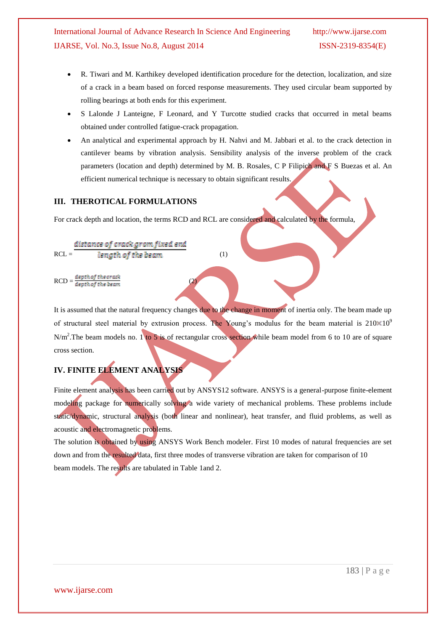## International Journal of Advance Research In Science And Engineering http://www.ijarse.com IJARSE, Vol. No.3, Issue No.8, August 2014 ISSN-2319-8354(E)

- R. Tiwari and M. Karthikey developed identification procedure for the detection, localization, and size of a crack in a beam based on forced response measurements. They used circular beam supported by rolling bearings at both ends for this experiment.
- S Lalonde J Lanteigne, F Leonard, and Y Turcotte studied cracks that occurred in metal beams obtained under controlled fatigue-crack propagation.
- An analytical and experimental approach by H. Nahvi and M. Jabbari et al. to the crack detection in cantilever beams by vibration analysis. Sensibility analysis of the inverse problem of the crack parameters (location and depth) determined by M. B. Rosales, C P Filipich and F S Buezas et al. An efficient numerical technique is necessary to obtain significant results.

#### **III. THEROTICAL FORMULATIONS**

For crack depth and location, the terms RCD and RCL are considered and calculated by the formula,

$$
RCL = \frac{distance\ of\ crack\ ground\ and}{length\ of\ the\ beam} \tag{1}
$$

 $\text{RCD} = \frac{depth\, of\, the\, crack}{depth\, of\, the\, beam}$  (2)

It is assumed that the natural frequency changes due to the change in moment of inertia only. The beam made up of structural steel material by extrusion process. The Young's modulus for the beam material is  $210 \times 10^9$  $N/m<sup>2</sup>$ . The beam models no. 1 to 5 is of rectangular cross section while beam model from 6 to 10 are of square cross section.

### **IV. FINITE ELEMENT ANALYSIS**

Finite element analysis has been carried out by ANSYS12 software. ANSYS is a general-purpose finite-element modeling package for numerically solving a wide variety of mechanical problems. These problems include static/dynamic, structural analysis (both linear and nonlinear), heat transfer, and fluid problems, as well as acoustic and electromagnetic problems.

The solution is obtained by using ANSYS Work Bench modeler. First 10 modes of natural frequencies are set down and from the resulted data, first three modes of transverse vibration are taken for comparison of 10 beam models. The results are tabulated in Table 1and 2.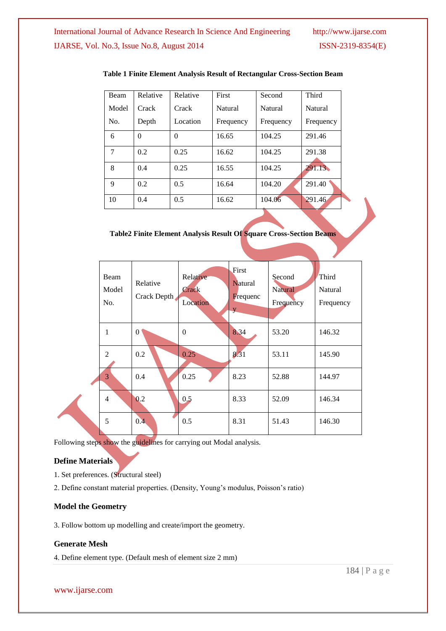| Beam  | Relative | Relative | First     | Second    | Third          |
|-------|----------|----------|-----------|-----------|----------------|
| Model | Crack    | Crack    | Natural   | Natural   | <b>Natural</b> |
| No.   | Depth    | Location | Frequency | Frequency | Frequency      |
| 6     | $\theta$ | $\theta$ | 16.65     | 104.25    | 291.46         |
| 7     | 0.2      | 0.25     | 16.62     | 104.25    | 291.38         |
| 8     | 0.4      | 0.25     | 16.55     | 104.25    | 291.13         |
| 9     | 0.2      | 0.5      | 16.64     | 104.20    | 291.40         |
| 10    | 0.4      | 0.5      | 16.62     | 104.06    | 291.46         |

#### **Table 1 Finite Element Analysis Result of Rectangular Cross-Section Beam**

**Table2 Finite Element Analysis Result Of Square Cross-Section Beams**

| Beam<br>Model<br>No. | Relative<br>Crack Depth | Relative<br>Crack<br>Location | First<br><b>Natural</b><br><b>F</b> requenc<br>y | Second<br><b>Natural</b><br>Frequency | Third<br>Natural<br>Frequency |
|----------------------|-------------------------|-------------------------------|--------------------------------------------------|---------------------------------------|-------------------------------|
| $\mathbf{1}$         | $\theta$                | $\boldsymbol{0}$              | 8.34                                             | 53.20                                 | 146.32                        |
| 2                    | 0.2                     | 0.25                          | 8.31                                             | 53.11                                 | 145.90                        |
| 3                    | 0.4                     | 0.25                          | 8.23                                             | 52.88                                 | 144.97                        |
| 4                    | 0.2                     | 0.5                           | 8.33                                             | 52.09                                 | 146.34                        |
| 5                    | 0.4                     | 0.5                           | 8.31                                             | 51.43                                 | 146.30                        |

Following steps show the guidelines for carrying out Modal analysis.

#### **Define Materials**

- 1. Set preferences. (Structural steel)
- 2. Define constant material properties. (Density, Young's modulus, Poisson's ratio)

#### **Model the Geometry**

3. Follow bottom up modelling and create/import the geometry.

#### **Generate Mesh**

4. Define element type. (Default mesh of element size 2 mm)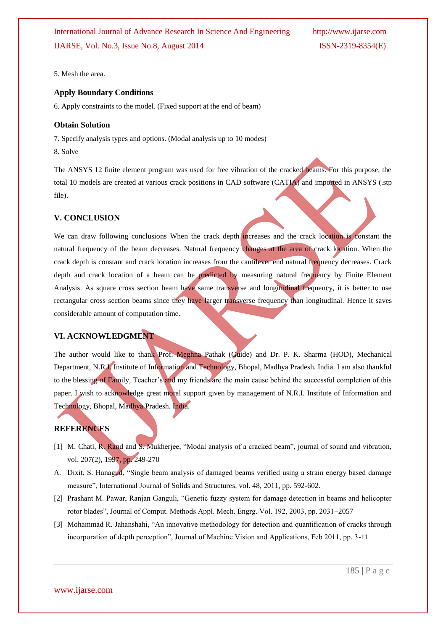5. Mesh the area.

#### **Apply Boundary Conditions**

6. Apply constraints to the model. (Fixed support at the end of beam)

#### **Obtain Solution**

7. Specify analysis types and options. (Modal analysis up to 10 modes) 8. Solve

The ANSYS 12 finite element program was used for free vibration of the cracked beams. For this purpose, the total 10 models are created at various crack positions in CAD software (CATIA) and imported in ANSYS (.stp file).

#### **V. CONCLUSION**

We can draw following conclusions When the crack depth increases and the crack location is constant the natural frequency of the beam decreases. Natural frequency changes at the area of crack location. When the crack depth is constant and crack location increases from the cantilever end natural frequency decreases. Crack depth and crack location of a beam can be predicted by measuring natural frequency by Finite Element Analysis. As square cross section beam have same transverse and longitudinal frequency, it is better to use rectangular cross section beams since they have larger transverse frequency than longitudinal. Hence it saves considerable amount of computation time.

### **VI. ACKNOWLEDGMENT**

The author would like to thank Prof. Meghna Pathak (Guide) and Dr. P. K. Sharma (HOD), Mechanical Department, N.R.I. Institute of Information and Technology, Bhopal, Madhya Pradesh. India. I am also thankful to the blessing of Family, Teacher's and my friends are the main cause behind the successful completion of this paper. I wish to acknowledge great moral support given by management of N.R.I. Institute of Information and Technology, Bhopal, Madhya Pradesh. India.

#### **REFERENCES**

- [1] M. Chati, R. Rand and S. Mukherjee, "Modal analysis of a cracked beam", journal of sound and vibration, vol. 207(2), 1997, pp. 249-270
- A. Dixit, S. Hanagud, "Single beam analysis of damaged beams verified using a strain energy based damage measure", International Journal of Solids and Structures, vol. 48, 2011, pp. 592-602.
- [2] Prashant M. Pawar, Ranjan Ganguli, "Genetic fuzzy system for damage detection in beams and helicopter rotor blades", Journal of Comput. Methods Appl. Mech. Engrg. Vol. 192, 2003, pp. 2031–2057
- [3] Mohammad R. Jahanshahi, "An innovative methodology for detection and quantification of cracks through incorporation of depth perception", Journal of Machine Vision and Applications, Feb 2011, pp. 3-11